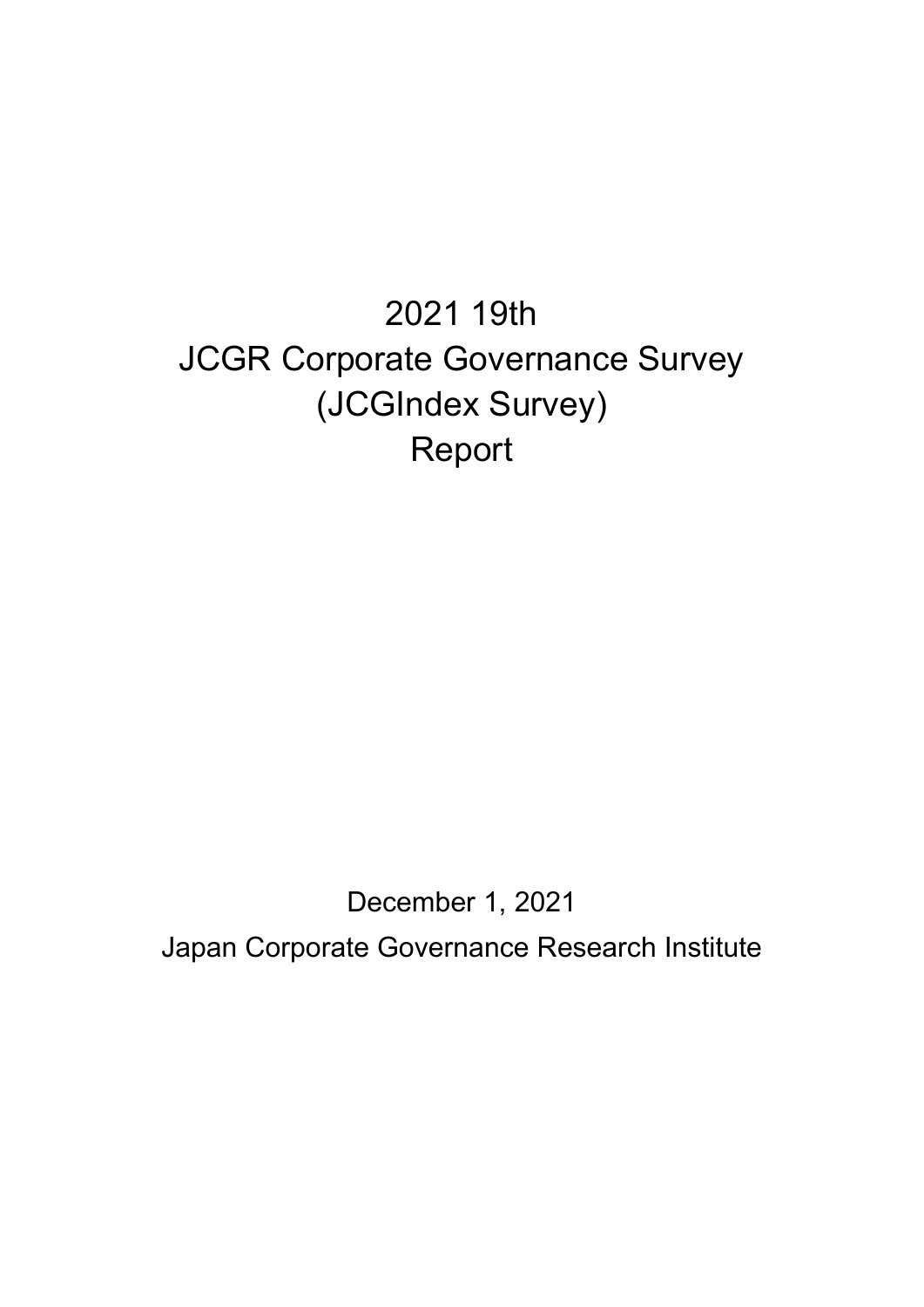# 2021 19th JCGR Corporate Governance Survey (JCGIndex Survey) Report

December 1, 2021 Japan Corporate Governance Research Institute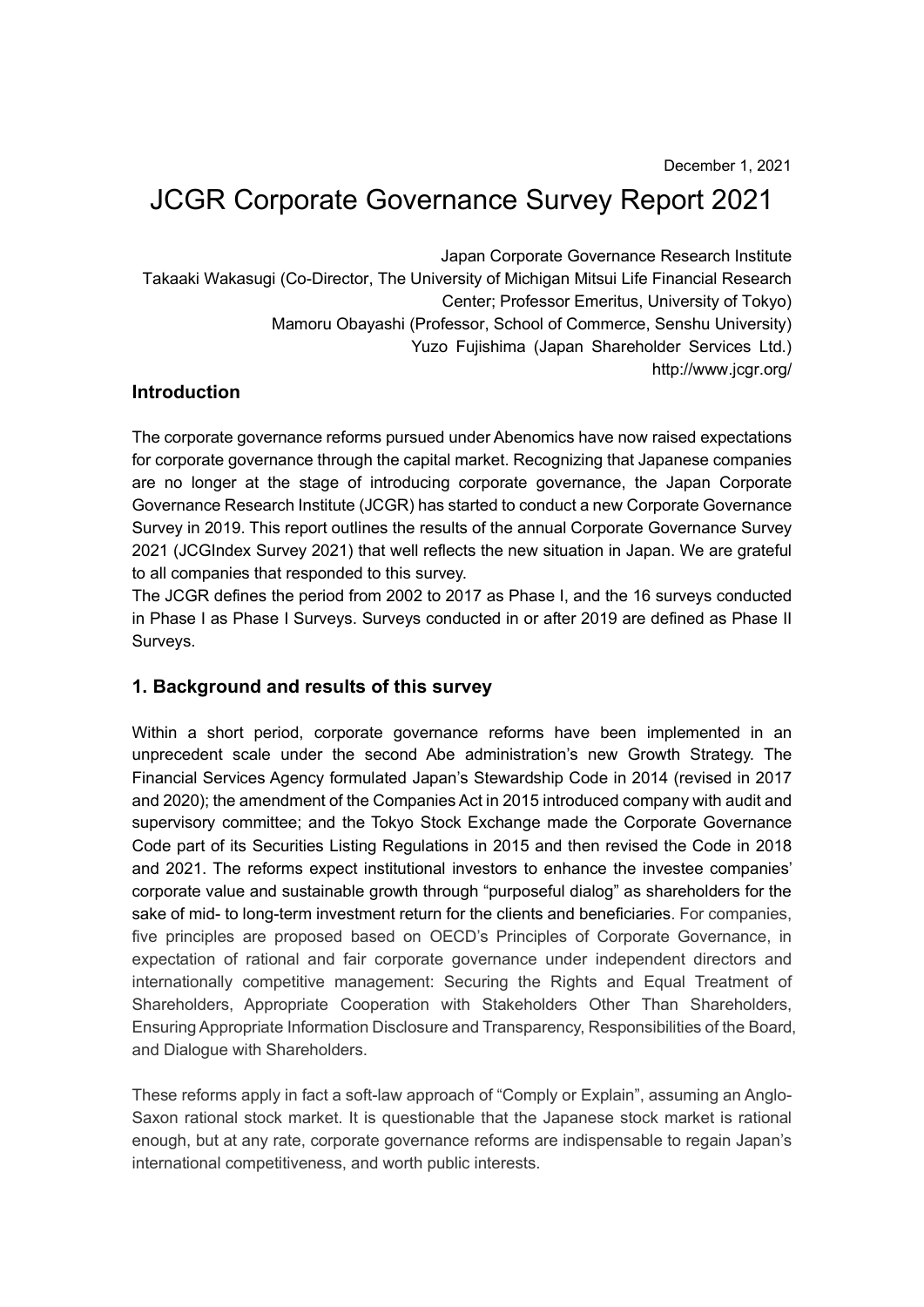# JCGR Corporate Governance Survey Report 2021

Japan Corporate Governance Research Institute Takaaki Wakasugi (Co-Director, The University of Michigan Mitsui Life Financial Research Center; Professor Emeritus, University of Tokyo) Mamoru Obayashi (Professor, School of Commerce, Senshu University) Yuzo Fujishima (Japan Shareholder Services Ltd.) http://www.jcgr.org/

#### Introduction

The corporate governance reforms pursued under Abenomics have now raised expectations for corporate governance through the capital market. Recognizing that Japanese companies are no longer at the stage of introducing corporate governance, the Japan Corporate Governance Research Institute (JCGR) has started to conduct a new Corporate Governance Survey in 2019. This report outlines the results of the annual Corporate Governance Survey 2021 (JCGIndex Survey 2021) that well reflects the new situation in Japan. We are grateful to all companies that responded to this survey.

The JCGR defines the period from 2002 to 2017 as Phase I, and the 16 surveys conducted in Phase I as Phase I Surveys. Surveys conducted in or after 2019 are defined as Phase II Surveys.

#### 1. Background and results of this survey

Within a short period, corporate governance reforms have been implemented in an unprecedent scale under the second Abe administration's new Growth Strategy. The Financial Services Agency formulated Japan's Stewardship Code in 2014 (revised in 2017 and 2020); the amendment of the Companies Act in 2015 introduced company with audit and supervisory committee; and the Tokyo Stock Exchange made the Corporate Governance Code part of its Securities Listing Regulations in 2015 and then revised the Code in 2018 and 2021. The reforms expect institutional investors to enhance the investee companies' corporate value and sustainable growth through "purposeful dialog" as shareholders for the sake of mid- to long-term investment return for the clients and beneficiaries. For companies, five principles are proposed based on OECD's Principles of Corporate Governance, in expectation of rational and fair corporate governance under independent directors and internationally competitive management: Securing the Rights and Equal Treatment of Shareholders, Appropriate Cooperation with Stakeholders Other Than Shareholders, Ensuring Appropriate Information Disclosure and Transparency, Responsibilities of the Board, and Dialogue with Shareholders.

These reforms apply in fact a soft-law approach of "Comply or Explain", assuming an Anglo-Saxon rational stock market. It is questionable that the Japanese stock market is rational enough, but at any rate, corporate governance reforms are indispensable to regain Japan's international competitiveness, and worth public interests.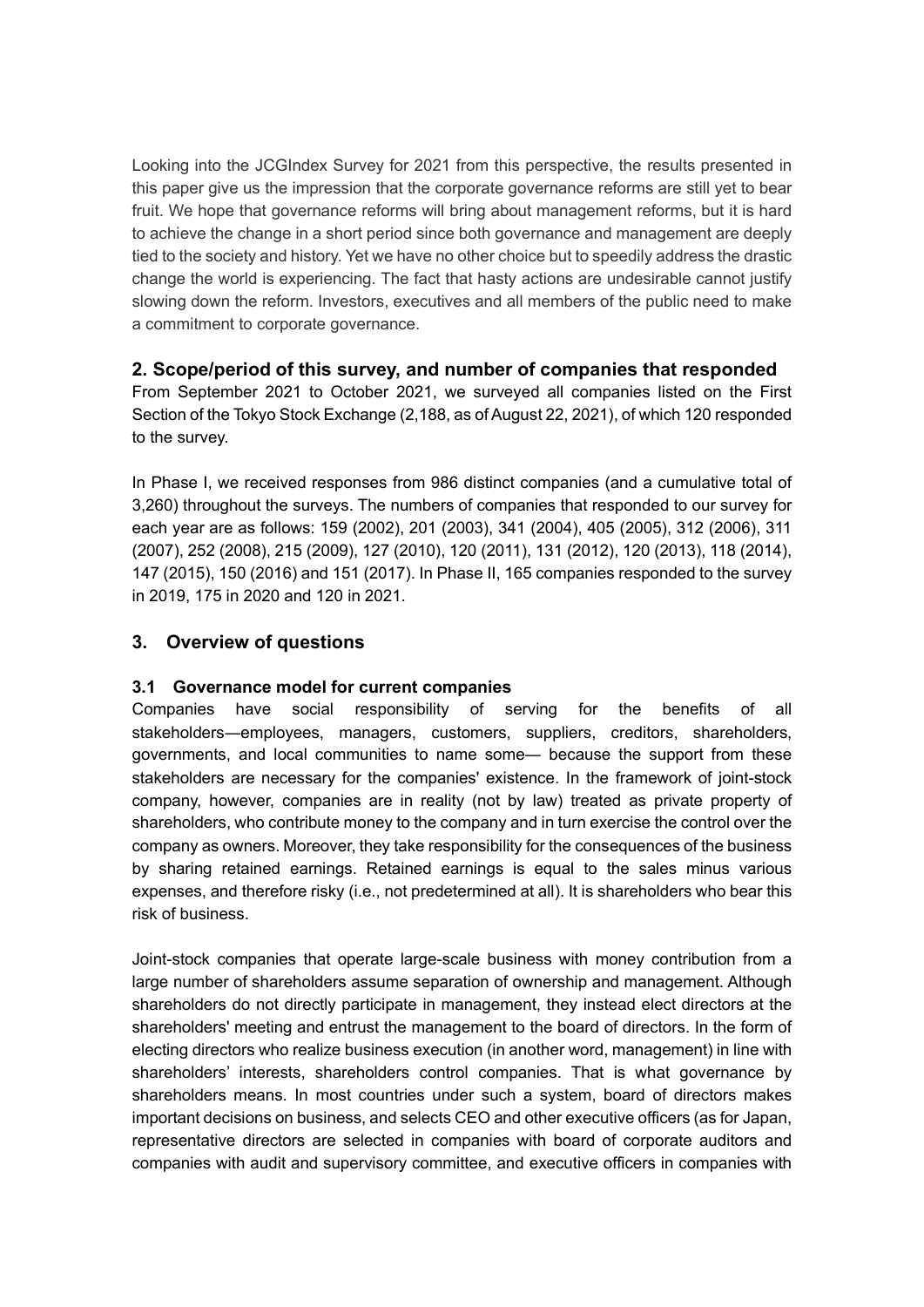Looking into the JCGIndex Survey for 2021 from this perspective, the results presented in this paper give us the impression that the corporate governance reforms are still yet to bear fruit. We hope that governance reforms will bring about management reforms, but it is hard to achieve the change in a short period since both governance and management are deeply tied to the society and history. Yet we have no other choice but to speedily address the drastic change the world is experiencing. The fact that hasty actions are undesirable cannot justify slowing down the reform. Investors, executives and all members of the public need to make a commitment to corporate governance.

#### 2. Scope/period of this survey, and number of companies that responded

From September 2021 to October 2021, we surveyed all companies listed on the First Section of the Tokyo Stock Exchange (2,188, as of August 22, 2021), of which 120 responded to the survey.

In Phase I, we received responses from 986 distinct companies (and a cumulative total of 3,260) throughout the surveys. The numbers of companies that responded to our survey for each year are as follows: 159 (2002), 201 (2003), 341 (2004), 405 (2005), 312 (2006), 311 (2007), 252 (2008), 215 (2009), 127 (2010), 120 (2011), 131 (2012), 120 (2013), 118 (2014), 147 (2015), 150 (2016) and 151 (2017). In Phase II, 165 companies responded to the survey in 2019, 175 in 2020 and 120 in 2021.

#### 3. Overview of questions

#### 3.1 Governance model for current companies

Companies have social responsibility of serving for the benefits of all stakeholders―employees, managers, customers, suppliers, creditors, shareholders, governments, and local communities to name some― because the support from these stakeholders are necessary for the companies' existence. In the framework of joint-stock company, however, companies are in reality (not by law) treated as private property of shareholders, who contribute money to the company and in turn exercise the control over the company as owners. Moreover, they take responsibility for the consequences of the business by sharing retained earnings. Retained earnings is equal to the sales minus various expenses, and therefore risky (i.e., not predetermined at all). It is shareholders who bear this risk of business.

Joint-stock companies that operate large-scale business with money contribution from a large number of shareholders assume separation of ownership and management. Although shareholders do not directly participate in management, they instead elect directors at the shareholders' meeting and entrust the management to the board of directors. In the form of electing directors who realize business execution (in another word, management) in line with shareholders' interests, shareholders control companies. That is what governance by shareholders means. In most countries under such a system, board of directors makes important decisions on business, and selects CEO and other executive officers (as for Japan, representative directors are selected in companies with board of corporate auditors and companies with audit and supervisory committee, and executive officers in companies with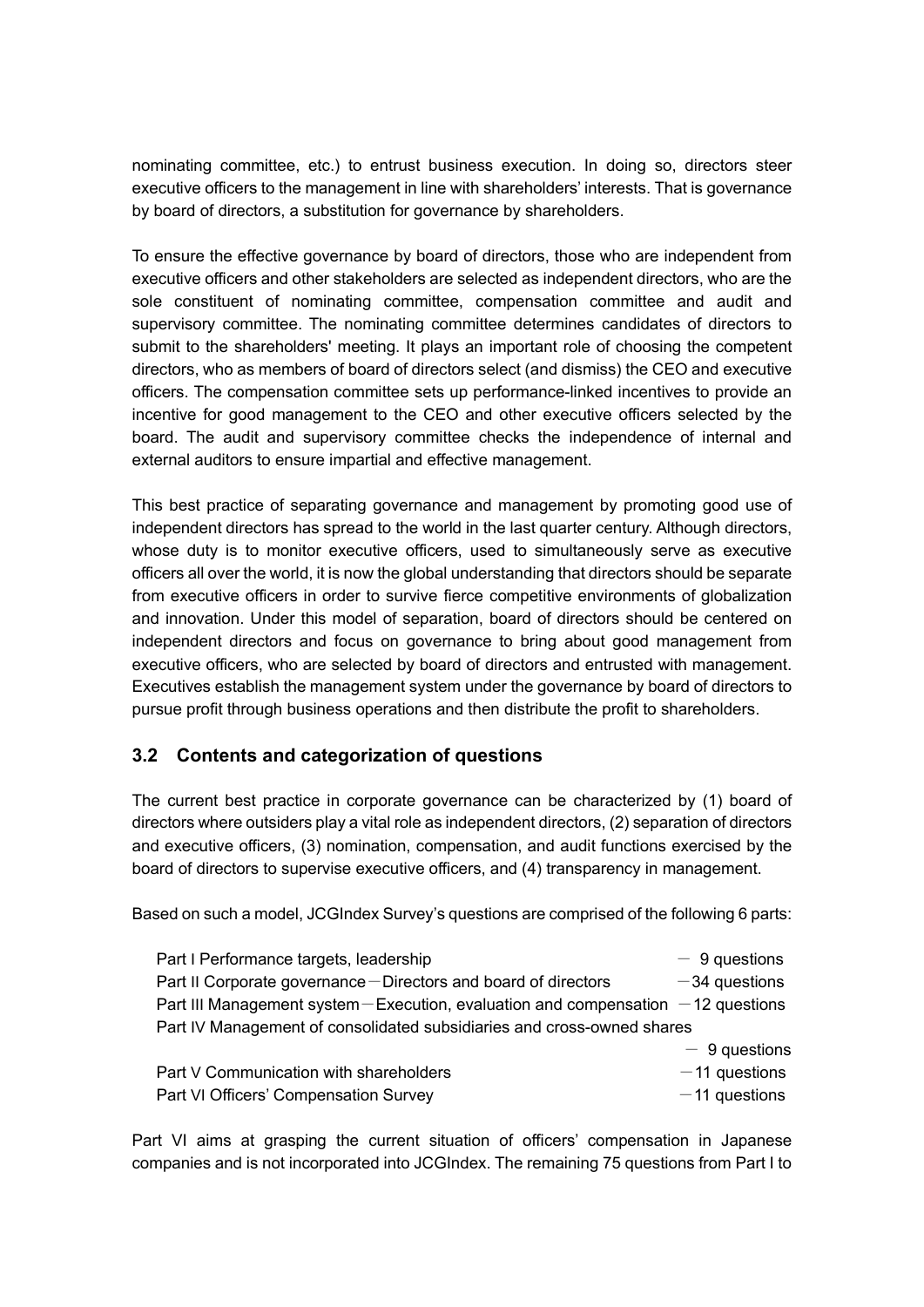nominating committee, etc.) to entrust business execution. In doing so, directors steer executive officers to the management in line with shareholders' interests. That is governance by board of directors, a substitution for governance by shareholders.

To ensure the effective governance by board of directors, those who are independent from executive officers and other stakeholders are selected as independent directors, who are the sole constituent of nominating committee, compensation committee and audit and supervisory committee. The nominating committee determines candidates of directors to submit to the shareholders' meeting. It plays an important role of choosing the competent directors, who as members of board of directors select (and dismiss) the CEO and executive officers. The compensation committee sets up performance-linked incentives to provide an incentive for good management to the CEO and other executive officers selected by the board. The audit and supervisory committee checks the independence of internal and external auditors to ensure impartial and effective management.

This best practice of separating governance and management by promoting good use of independent directors has spread to the world in the last quarter century. Although directors, whose duty is to monitor executive officers, used to simultaneously serve as executive officers all over the world, it is now the global understanding that directors should be separate from executive officers in order to survive fierce competitive environments of globalization and innovation. Under this model of separation, board of directors should be centered on independent directors and focus on governance to bring about good management from executive officers, who are selected by board of directors and entrusted with management. Executives establish the management system under the governance by board of directors to pursue profit through business operations and then distribute the profit to shareholders.

#### 3.2 Contents and categorization of questions

The current best practice in corporate governance can be characterized by (1) board of directors where outsiders play a vital role as independent directors, (2) separation of directors and executive officers, (3) nomination, compensation, and audit functions exercised by the board of directors to supervise executive officers, and (4) transparency in management.

Based on such a model, JCGIndex Survey's questions are comprised of the following 6 parts:

| Part I Performance targets, leadership                                              | $-9$ questions  |
|-------------------------------------------------------------------------------------|-----------------|
| Part II Corporate governance - Directors and board of directors                     | $-34$ questions |
| Part III Management system – Execution, evaluation and compensation $-12$ questions |                 |
| Part IV Management of consolidated subsidiaries and cross-owned shares              |                 |
|                                                                                     | $-9$ questions  |
| Part V Communication with shareholders                                              | $-11$ questions |
| Part VI Officers' Compensation Survey                                               | $-11$ questions |

Part VI aims at grasping the current situation of officers' compensation in Japanese companies and is not incorporated into JCGIndex. The remaining 75 questions from Part I to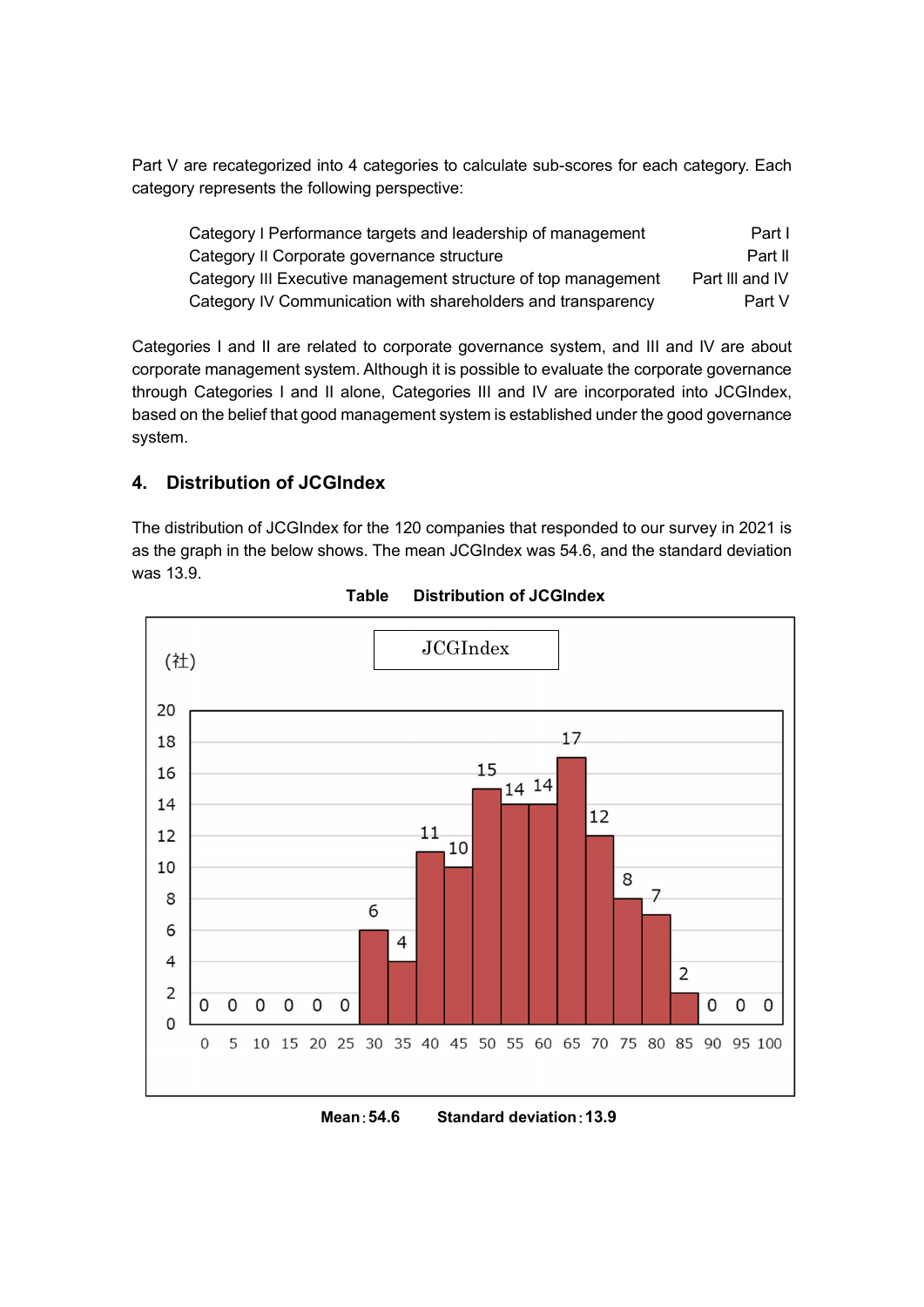Part V are recategorized into 4 categories to calculate sub-scores for each category. Each category represents the following perspective:

| Category I Performance targets and leadership of management   | Part I          |
|---------------------------------------------------------------|-----------------|
| Category II Corporate governance structure                    | Part II         |
| Category III Executive management structure of top management | Part III and IV |
| Category IV Communication with shareholders and transparency  | Part V          |

Categories I and II are related to corporate governance system, and III and IV are about corporate management system. Although it is possible to evaluate the corporate governance through Categories I and II alone, Categories III and IV are incorporated into JCGIndex, based on the belief that good management system is established under the good governance system.

#### 4. Distribution of JCGIndex

The distribution of JCGIndex for the 120 companies that responded to our survey in 2021 is as the graph in the below shows. The mean JCGIndex was 54.6, and the standard deviation was 13.9.



Table Distribution of JCGIndex

#### Mean:54.6 Standard deviation:13.9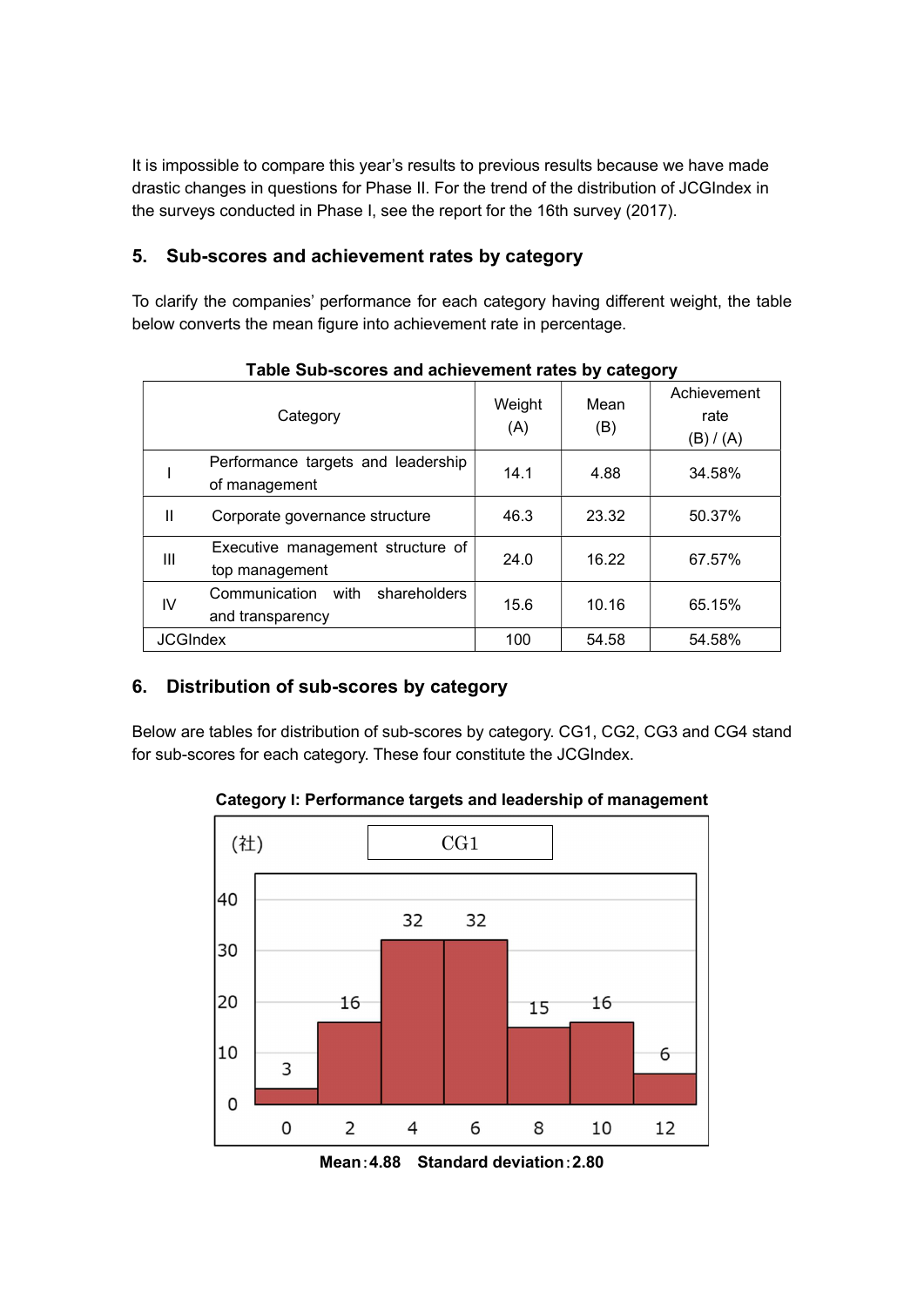It is impossible to compare this year's results to previous results because we have made drastic changes in questions for Phase II. For the trend of the distribution of JCGIndex in the surveys conducted in Phase I, see the report for the 16th survey (2017).

#### 5. Sub-scores and achievement rates by category

To clarify the companies' performance for each category having different weight, the table below converts the mean figure into achievement rate in percentage.

|                 | rable Sub-scores and achievement rates by category        |               |             |                                  |  |  |
|-----------------|-----------------------------------------------------------|---------------|-------------|----------------------------------|--|--|
|                 | Category                                                  | Weight<br>(A) | Mean<br>(B) | Achievement<br>rate<br>(B) / (A) |  |  |
|                 | Performance targets and leadership<br>of management       | 14.1          | 4.88        | 34.58%                           |  |  |
| Ш               | Corporate governance structure                            | 46.3          | 23.32       | 50.37%                           |  |  |
| Ш               | Executive management structure of<br>top management       | 24.0          | 16.22       | 67.57%                           |  |  |
| IV              | Communication<br>with<br>shareholders<br>and transparency | 15.6          | 10.16       | 65.15%                           |  |  |
| <b>JCGIndex</b> |                                                           | 100           | 54.58       | 54.58%                           |  |  |

Table Sub-scores and achievement rates by category

#### 6. Distribution of sub-scores by category

Below are tables for distribution of sub-scores by category. CG1, CG2, CG3 and CG4 stand for sub-scores for each category. These four constitute the JCGIndex.

Category I: Performance targets and leadership of management



Mean:4.88 Standard deviation:2.80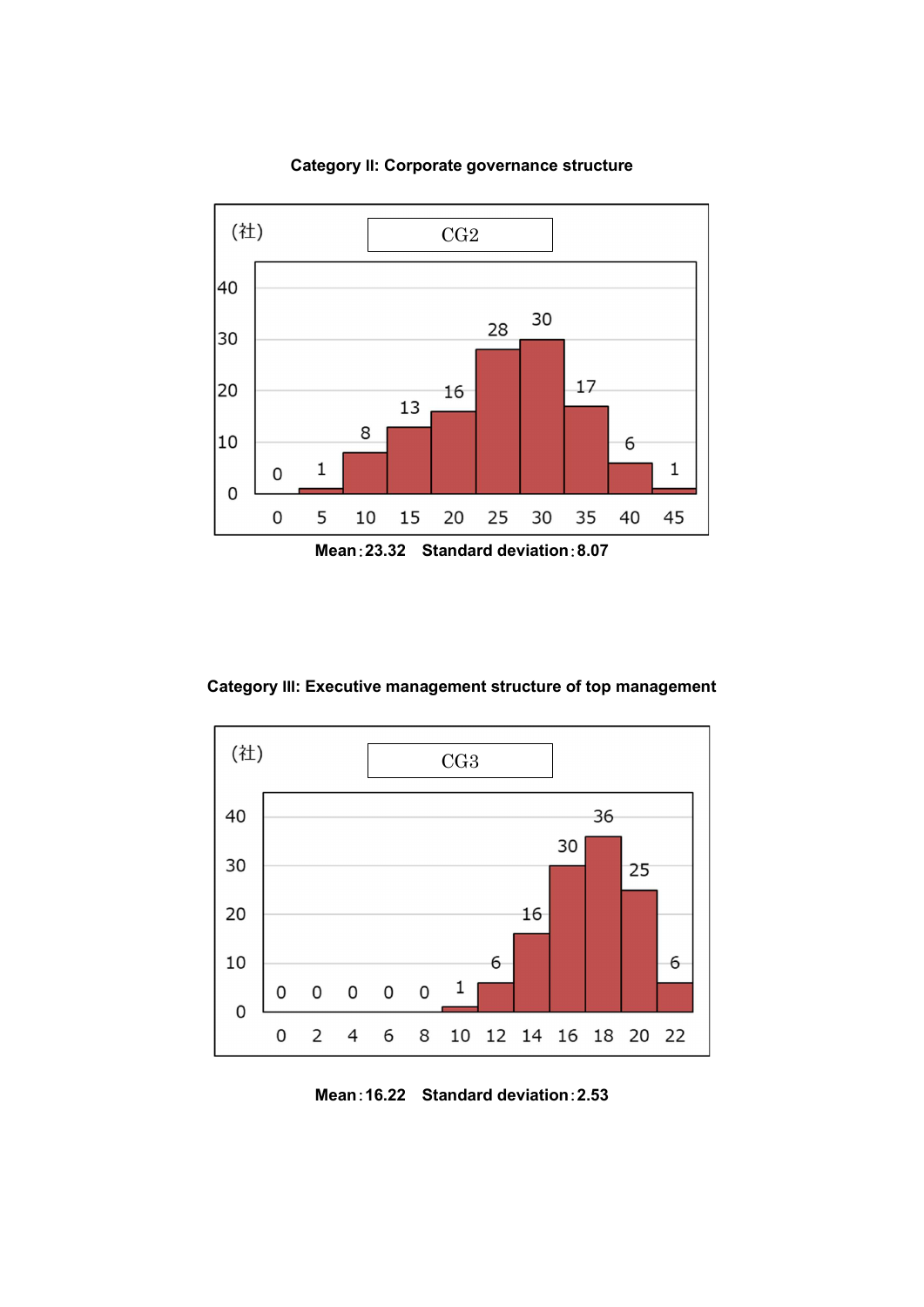

Category II: Corporate governance structure

Category III: Executive management structure of top management

![](_page_6_Figure_3.jpeg)

Mean:16.22 Standard deviation:2.53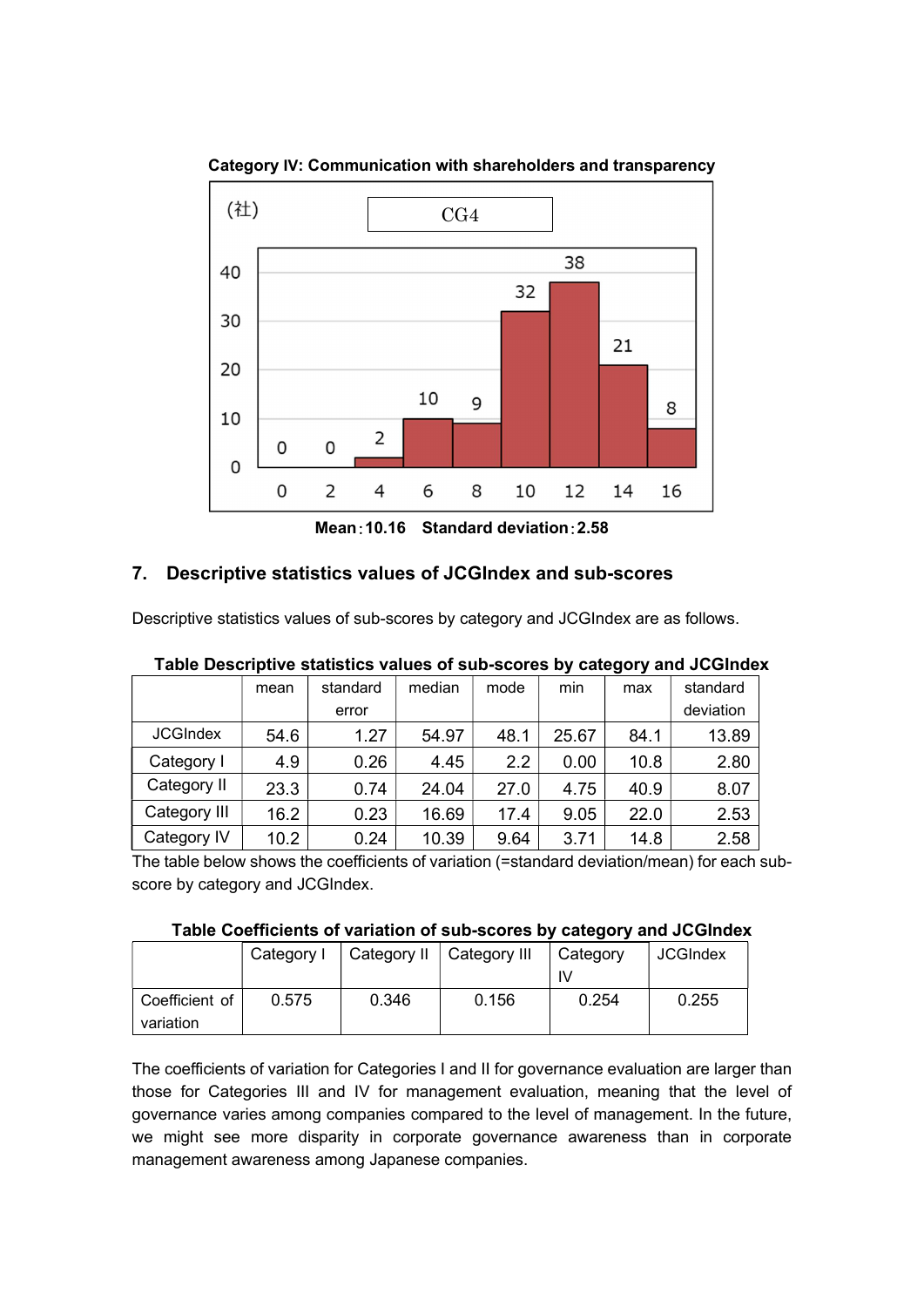![](_page_7_Figure_0.jpeg)

Category IV: Communication with shareholders and transparency

Mean:10.16 Standard deviation:2.58

#### 7. Descriptive statistics values of JCGIndex and sub-scores

Descriptive statistics values of sub-scores by category and JCGIndex are as follows.

| - - - - -       |      |          |        |      |       |      |           |
|-----------------|------|----------|--------|------|-------|------|-----------|
|                 | mean | standard | median | mode | min   | max  | standard  |
|                 |      | error    |        |      |       |      | deviation |
| <b>JCGIndex</b> | 54.6 | 1.27     | 54.97  | 48.1 | 25.67 | 84.1 | 13.89     |
| Category I      | 4.9  | 0.26     | 4.45   | 2.2  | 0.00  | 10.8 | 2.80      |
| Category II     | 23.3 | 0.74     | 24.04  | 27.0 | 4.75  | 40.9 | 8.07      |
| Category III    | 16.2 | 0.23     | 16.69  | 17.4 | 9.05  | 22.0 | 2.53      |
| Category IV     | 10.2 | 0.24     | 10.39  | 9.64 | 3.71  | 14.8 | 2.58      |

| Table Descriptive statistics values of sub-scores by category and JCGIndex |  |  |
|----------------------------------------------------------------------------|--|--|
|----------------------------------------------------------------------------|--|--|

The table below shows the coefficients of variation (=standard deviation/mean) for each subscore by category and JCGIndex.

#### Table Coefficients of variation of sub-scores by category and JCGIndex

|                             | Category I | Category II   Category III |       | Category | <b>JCGIndex</b> |
|-----------------------------|------------|----------------------------|-------|----------|-----------------|
| Coefficient of<br>variation | 0.575      | 0.346                      | 0.156 | 0.254    | 0.255           |

The coefficients of variation for Categories I and II for governance evaluation are larger than those for Categories III and IV for management evaluation, meaning that the level of governance varies among companies compared to the level of management. In the future, we might see more disparity in corporate governance awareness than in corporate management awareness among Japanese companies.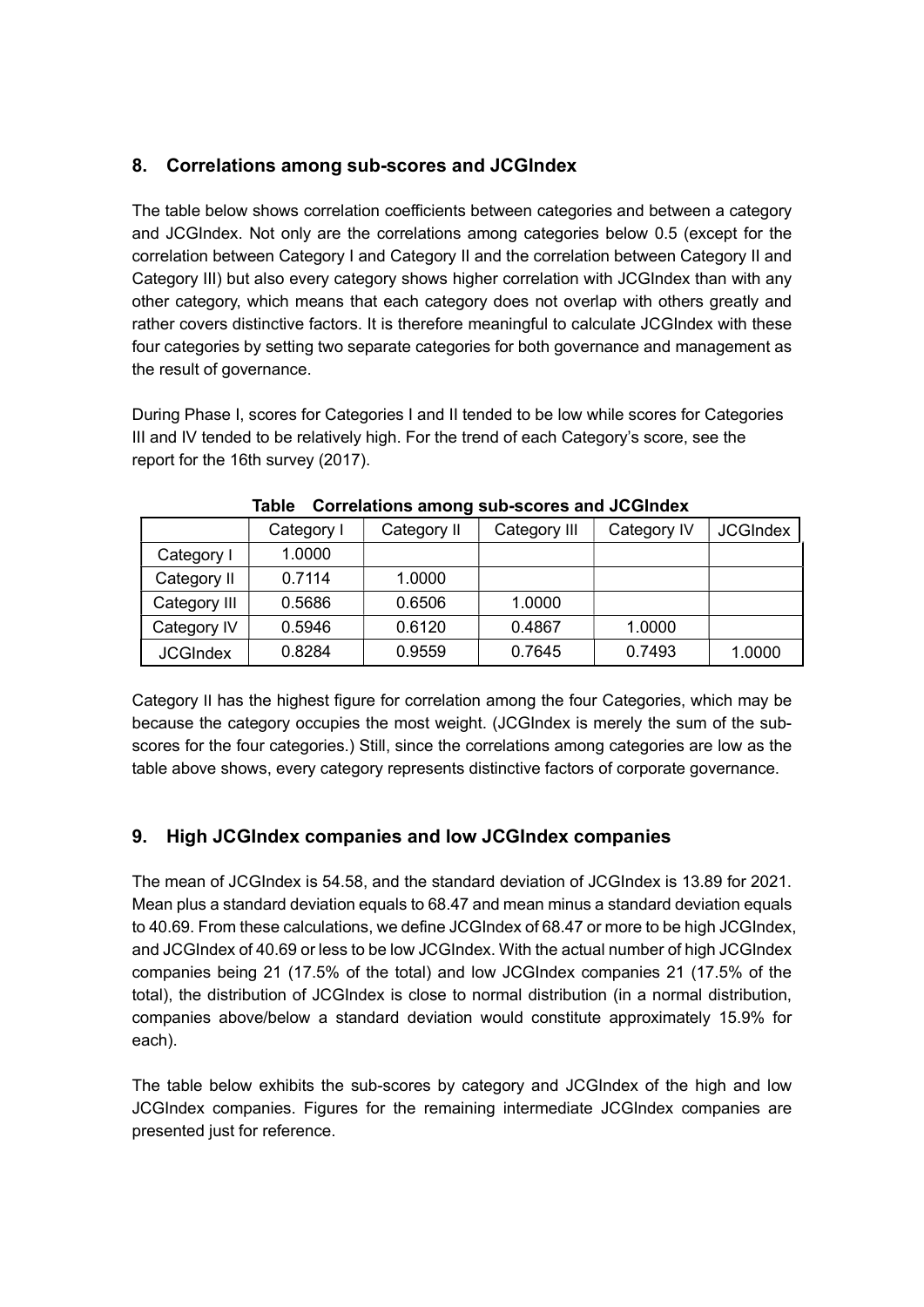#### 8. Correlations among sub-scores and JCGIndex

The table below shows correlation coefficients between categories and between a category and JCGIndex. Not only are the correlations among categories below 0.5 (except for the correlation between Category I and Category II and the correlation between Category II and Category III) but also every category shows higher correlation with JCGIndex than with any other category, which means that each category does not overlap with others greatly and rather covers distinctive factors. It is therefore meaningful to calculate JCGIndex with these four categories by setting two separate categories for both governance and management as the result of governance.

During Phase I, scores for Categories I and II tended to be low while scores for Categories III and IV tended to be relatively high. For the trend of each Category's score, see the report for the 16th survey (2017).

|                 | Category I | Category II | Category III | Category IV | <b>JCGIndex</b> |
|-----------------|------------|-------------|--------------|-------------|-----------------|
| Category I      | 1.0000     |             |              |             |                 |
| Category II     | 0.7114     | 1.0000      |              |             |                 |
| Category III    | 0.5686     | 0.6506      | 1.0000       |             |                 |
| Category IV     | 0.5946     | 0.6120      | 0.4867       | 1.0000      |                 |
| <b>JCGIndex</b> | 0.8284     | 0.9559      | 0.7645       | 0.7493      | 1.0000          |

Table Correlations among sub-scores and JCGIndex

Category II has the highest figure for correlation among the four Categories, which may be because the category occupies the most weight. (JCGIndex is merely the sum of the subscores for the four categories.) Still, since the correlations among categories are low as the table above shows, every category represents distinctive factors of corporate governance.

#### 9. High JCGIndex companies and low JCGIndex companies

The mean of JCGIndex is 54.58, and the standard deviation of JCGIndex is 13.89 for 2021. Mean plus a standard deviation equals to 68.47 and mean minus a standard deviation equals to 40.69. From these calculations, we define JCGIndex of 68.47 or more to be high JCGIndex, and JCGIndex of 40.69 or less to be low JCGIndex. With the actual number of high JCGIndex companies being 21 (17.5% of the total) and low JCGIndex companies 21 (17.5% of the total), the distribution of JCGIndex is close to normal distribution (in a normal distribution, companies above/below a standard deviation would constitute approximately 15.9% for each).

The table below exhibits the sub-scores by category and JCGIndex of the high and low JCGIndex companies. Figures for the remaining intermediate JCGIndex companies are presented just for reference.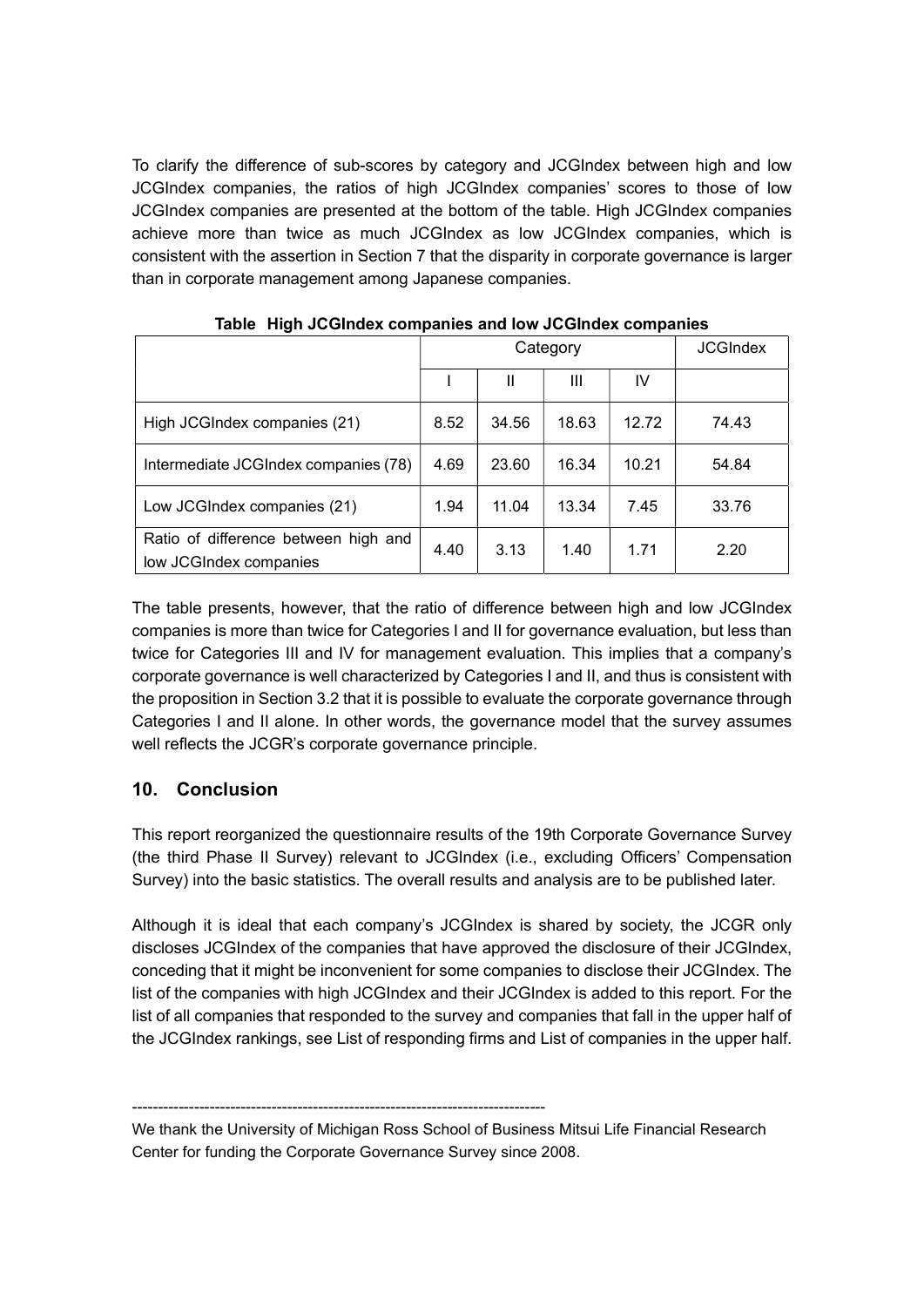To clarify the difference of sub-scores by category and JCGIndex between high and low JCGIndex companies, the ratios of high JCGIndex companies' scores to those of low JCGIndex companies are presented at the bottom of the table. High JCGIndex companies achieve more than twice as much JCGIndex as low JCGIndex companies, which is consistent with the assertion in Section 7 that the disparity in corporate governance is larger than in corporate management among Japanese companies.

|                                                                | Category |       |       | <b>JCGIndex</b> |       |
|----------------------------------------------------------------|----------|-------|-------|-----------------|-------|
|                                                                |          | Ш     | Ш     | IV              |       |
| High JCGIndex companies (21)                                   | 8.52     | 34.56 | 18.63 | 12.72           | 74.43 |
| Intermediate JCGIndex companies (78)                           | 4.69     | 23.60 | 16.34 | 10.21           | 54.84 |
| Low JCGIndex companies (21)                                    | 1.94     | 11.04 | 13.34 | 7.45            | 33.76 |
| Ratio of difference between high and<br>low JCGIndex companies | 4.40     | 3.13  | 1.40  | 1.71            | 2.20  |

Table High JCGIndex companies and low JCGIndex companies

The table presents, however, that the ratio of difference between high and low JCGIndex companies is more than twice for Categories I and II for governance evaluation, but less than twice for Categories III and IV for management evaluation. This implies that a company's corporate governance is well characterized by Categories I and II, and thus is consistent with the proposition in Section 3.2 that it is possible to evaluate the corporate governance through Categories I and II alone. In other words, the governance model that the survey assumes well reflects the JCGR's corporate governance principle.

#### 10. Conclusion

This report reorganized the questionnaire results of the 19th Corporate Governance Survey (the third Phase II Survey) relevant to JCGIndex (i.e., excluding Officers' Compensation Survey) into the basic statistics. The overall results and analysis are to be published later.

Although it is ideal that each company's JCGIndex is shared by society, the JCGR only discloses JCGIndex of the companies that have approved the disclosure of their JCGIndex, conceding that it might be inconvenient for some companies to disclose their JCGIndex. The list of the companies with high JCGIndex and their JCGIndex is added to this report. For the list of all companies that responded to the survey and companies that fall in the upper half of the JCGIndex rankings, see List of responding firms and List of companies in the upper half.

--------------------------------------------------------------------------------

We thank the University of Michigan Ross School of Business Mitsui Life Financial Research Center for funding the Corporate Governance Survey since 2008.